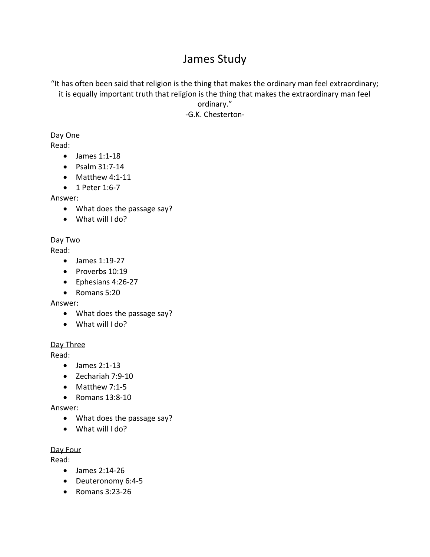# James Study

"It has often been said that religion is the thing that makes the ordinary man feel extraordinary; it is equally important truth that religion is the thing that makes the extraordinary man feel

> ordinary." -G.K. Chesterton-

### Day One

Read:

- James 1:1-18
- Psalm 31:7-14
- Matthew 4:1-11
- 1 Peter 1:6-7

Answer:

- What does the passage say?
- What will I do?

# Day Two

Read:

- James 1:19-27
- Proverbs 10:19
- Ephesians 4:26-27
- Romans 5:20

Answer:

- What does the passage say?
- What will I do?

# Day Three

Read:

- James 2:1-13
- Zechariah 7:9-10
- Matthew 7:1-5
- Romans 13:8-10

# Answer:

- What does the passage say?
- What will I do?

Day Four

Read:

- James 2:14-26
- Deuteronomy 6:4-5
- Romans 3:23-26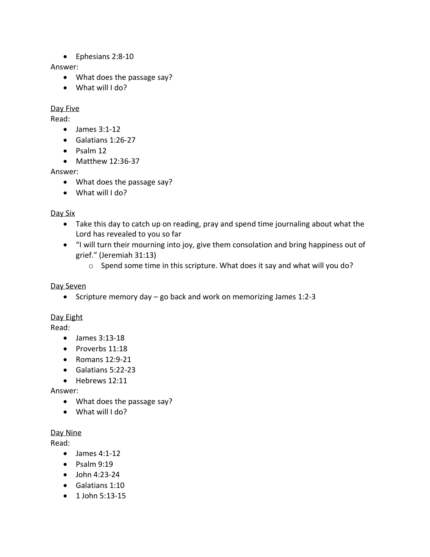• Ephesians 2:8-10

#### Answer:

- What does the passage say?
- What will I do?

### Day Five

Read:

- James 3:1-12
- Galatians 1:26-27
- Psalm 12
- Matthew 12:36-37

Answer:

- What does the passage say?
- What will I do?

### Day Six

- Take this day to catch up on reading, pray and spend time journaling about what the Lord has revealed to you so far
- "I will turn their mourning into joy, give them consolation and bring happiness out of grief." (Jeremiah 31:13)
	- o Spend some time in this scripture. What does it say and what will you do?

# Day Seven

• Scripture memory day – go back and work on memorizing James 1:2-3

# Day Eight

Read:

- James 3:13-18
- Proverbs 11:18
- Romans 12:9-21
- Galatians 5:22-23
- Hebrews 12:11

# Answer:

- What does the passage say?
- What will I do?

# Day Nine

Read:

- James 4:1-12
- Psalm 9:19
- John 4:23-24
- Galatians 1:10
- 1 John 5:13-15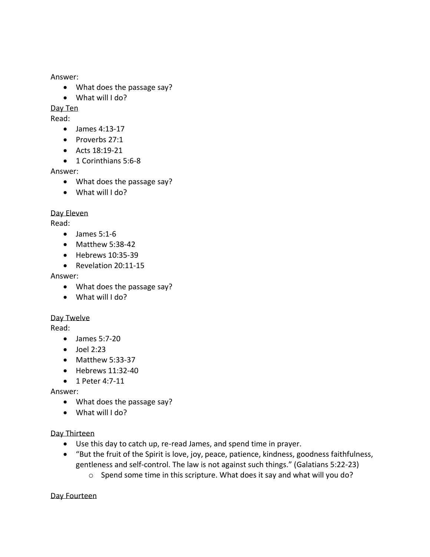Answer:

- What does the passage say?
- What will I do?

Day Ten

Read:

- James 4:13-17
- Proverbs 27:1
- Acts 18:19-21
- 1 Corinthians 5:6-8

Answer:

- What does the passage say?
- What will I do?

#### Day Eleven

Read:

- $\bullet$  James 5:1-6
- Matthew 5:38-42
- Hebrews 10:35-39
- Revelation 20:11-15

#### Answer:

- What does the passage say?
- What will I do?

#### Day Twelve

Read:

- James 5:7-20
- $\bullet$  Joel 2:23
- Matthew 5:33-37
- Hebrews 11:32-40
- 1 Peter 4:7-11

Answer:

- What does the passage say?
- What will I do?

#### Day Thirteen

- Use this day to catch up, re-read James, and spend time in prayer.
- "But the fruit of the Spirit is love, joy, peace, patience, kindness, goodness faithfulness, gentleness and self-control. The law is not against such things." (Galatians 5:22-23)
	- o Spend some time in this scripture. What does it say and what will you do?

Day Fourteen